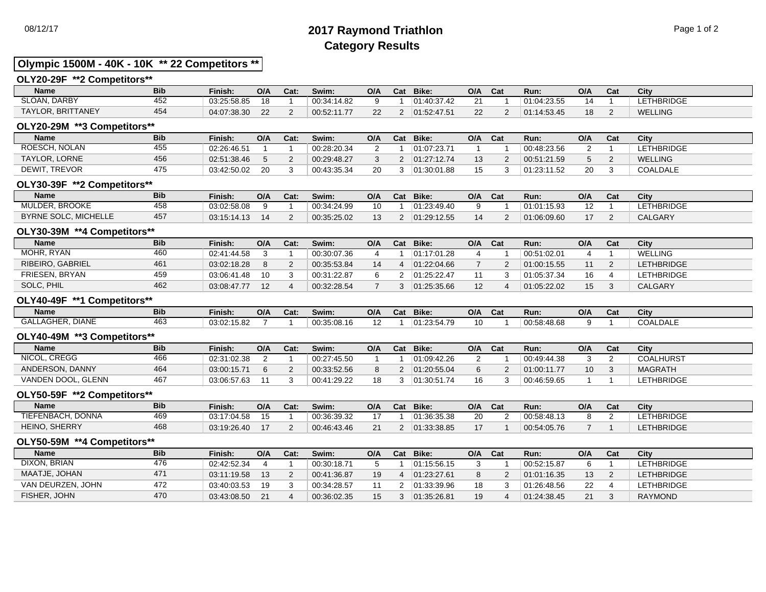# 08/12/17 **2017 Raymond Triathlon** Page 1 of 2 **Category Results**

### **Olympic 1500M - 40K - 10K \*\* 22 Competitors \*\***

#### **OLY20-29F \*\*2 Competitors\*\***

| <b>Name</b>       | <b>Bib</b> | Finish:     | O/A      | Cat: | Swim:       | O/A | Cat | Bike:       | O/A | Cat | Run:        | O/A | Cat | City           |
|-------------------|------------|-------------|----------|------|-------------|-----|-----|-------------|-----|-----|-------------|-----|-----|----------------|
| SLOAN, DARBY      | 452        | 03:25:58.85 | 18       |      | 00:34:14.82 |     |     | 01:40:37.42 |     |     | 01:04:23.55 |     |     | LETHBRIDGE     |
| TAYLOR, BRITTANEY | 454        | 04:07:38.30 | $\Omega$ |      | 00:52:11.77 |     |     | 01:52:47.51 |     |     | 01:14:53.45 | 18  |     | <b>WELLING</b> |

#### **OLY20-29M \*\*3 Competitors\*\***

| <b>Name</b>          | <b>Bib</b> | Finish:     | O/A | Cat: | Swim:       | O/A | Cat | Bike:       | O/A | Cat | Run:        | O/A | Cat | City            |
|----------------------|------------|-------------|-----|------|-------------|-----|-----|-------------|-----|-----|-------------|-----|-----|-----------------|
| ROESCH, NOLAN        | 455        | 02:26:46.51 |     |      | 00:28:20.34 |     |     | 01:07:23.71 |     |     | 00:48:23.56 |     |     | LETHBRIDGE      |
| <b>TAYLOR, LORNE</b> | 456        | 02:51:38.46 |     |      | 00:29:48.27 |     |     | 01:27:12.74 |     |     | 00:51:21.59 |     |     | <b>WELLING</b>  |
| <b>DEWIT, TREVOR</b> | 475        | 03:42:50.02 | 20  |      | 00:43:35.34 | 20  |     | 01:30:01.88 |     |     | 01:23:11.52 | 20  |     | <b>COALDALE</b> |

#### **OLY30-39F \*\*2 Competitors\*\***

| <b>Name</b>                 | <b>Bib</b> | Finish:     | O/A | Cat: | Swim:       | O/A       | Cat | Bike:       | O/A | Cat | Run:        | O/A            | Cat | City              |
|-----------------------------|------------|-------------|-----|------|-------------|-----------|-----|-------------|-----|-----|-------------|----------------|-----|-------------------|
| <b>MULDER, BROOKE</b>       | 458        | 03:02:58.08 |     |      | 00:34:24.99 | $10^{-1}$ |     | 01:23:49.40 |     |     | 01:01:15.93 | $\overline{ }$ |     | <b>LETHBRIDGE</b> |
| <b>BYRNE SOLC, MICHELLE</b> | 457        | 03:15:14.13 |     |      | 00:35:25.02 |           |     | 01:29:12.55 |     |     | 01:06:09.60 |                |     | CALGARY           |

#### **OLY30-39M \*\*4 Competitors\*\***

| <b>Name</b>      | <b>Bib</b> | Finish:     | O/A | Cat: | Swim:       | O/A | Cat | Bike:       | O/A | Cat | Run:        | O/A | Cat | City              |
|------------------|------------|-------------|-----|------|-------------|-----|-----|-------------|-----|-----|-------------|-----|-----|-------------------|
| MOHR, RYAN       | 460        | 02:41:44.58 |     |      | 00:30:07.36 |     |     | 01:17:01.28 |     |     | 00:51:02.01 |     |     | <b>WELLING</b>    |
| RIBEIRO, GABRIEL | 461        | 03:02:18.28 |     |      | 00:35:53.84 | 14  |     | 01:22:04.66 |     |     | 01:00:15.55 | 11  |     | <b>LETHBRIDGE</b> |
| FRIESEN, BRYAN   | 459        | 03:06:41.48 | 10  |      | 00:31:22.87 |     |     | 01:25:22.47 |     |     | 01:05:37.34 | 16  |     | LETHBRIDGE        |
| SOLC, PHIL       | 462        | 03:08:47.77 | 12  |      | 00:32:28.54 |     |     | 01:25:35.66 |     |     | 01:05:22.02 | 15  |     | CALGARY           |

#### **OLY40-49F \*\*1 Competitors\*\***

| <b>Name</b>             | <b>Bib</b> | Finish:     | O/A | r.,<br>∪at. | Swim:       | O/A                  | Cat | Bike:                            | O/A | Cat | Run:        | O/A | vau | City            |
|-------------------------|------------|-------------|-----|-------------|-------------|----------------------|-----|----------------------------------|-----|-----|-------------|-----|-----|-----------------|
| <b>GALLAGHER, DIANE</b> | 463        | 03:02:15.82 |     |             | 00:35:08.16 | $\overline{ }$<br>14 |     | 5170<br><b>04.00</b><br>23.54.79 | 10  |     | 00:58:48.68 |     |     | <b>COALDALE</b> |

#### **OLY40-49M \*\*3 Competitors\*\***

| <b>Name</b>        | <b>Bib</b> | Finish:     | O/A | Cat: | Swim:       | O/A | Cat | Bike:       | O/A | Cat | Run:        | O/A             | Cat | City              |
|--------------------|------------|-------------|-----|------|-------------|-----|-----|-------------|-----|-----|-------------|-----------------|-----|-------------------|
| NICOL, CREGG       | 466        | 02:31:02.38 |     |      | 00:27:45.50 |     |     | 01:09:42.26 |     |     | 00:49:44.38 |                 |     | <b>COALHURST</b>  |
| ANDERSON, DANNY    | 464        | 03:00:15.71 |     |      | 00:33:52.56 |     |     | 01:20:55.04 |     |     | 01:00:11.77 | 10 <sup>°</sup> |     | <b>MAGRATH</b>    |
| VANDEN DOOL, GLENN | 467        | 03:06:57.63 |     |      | 00:41:29.22 | 18  |     | 01:30:51.74 |     |     | 00:46:59.65 |                 |     | <b>LETHBRIDGE</b> |

#### **OLY50-59F \*\*2 Competitors\*\***

| <b>Name</b>            | <b>Bib</b> | Finish.     | O/A | Cat: | Swim:       | O/A    | Cat | Bike:       | O/A | Cat | Run:        | O/A | Cat | City             |
|------------------------|------------|-------------|-----|------|-------------|--------|-----|-------------|-----|-----|-------------|-----|-----|------------------|
| . DONNA<br>TIEFENBACH. | 469        | 03:17:04.58 | 15  |      | 00:36:39.32 |        |     | 01:36:35.38 |     |     | 00:58:48.13 |     |     | <b>ETHBRIDGE</b> |
| HEINO, SHERRY          | 468        | 03:19:26.40 |     |      | 00:46:43.46 | ິ<br>∠ |     | 01.33.38.85 |     |     | 00:54:05.76 |     |     | <b>ETHBRIDGE</b> |

#### **OLY50-59M \*\*4 Competitors\*\***

| Name              | <b>Bib</b> | Finish:     | O/A | Cat: | Swim:       | O/A | Cat | Bike:       | O/A | <b>Cat</b> | Run:        | O/A | Cat | City              |
|-------------------|------------|-------------|-----|------|-------------|-----|-----|-------------|-----|------------|-------------|-----|-----|-------------------|
| DIXON, BRIAN      | 476        | 02:42:52.34 |     |      | 00:30:18.71 |     |     | 01:15:56.15 |     |            | 00:52:15.87 |     |     | <b>LETHBRIDGE</b> |
| MAATJE. JOHAN     | 471        | 03:11:19.58 | 13  |      | 00:41:36.87 | 19  |     | 01:23:27.61 |     |            | 01:01:16.35 | 13  |     | LETHBRIDGE        |
| VAN DEURZEN, JOHN | 472        | 03:40:03.53 | 19  |      | 00:34:28.57 |     |     | 01:33:39.96 |     |            | 01:26:48.56 | 22  |     | <b>LETHBRIDGE</b> |
| FISHER, JOHN      | 470        | 03:43:08.50 | 21  |      | 00:36:02.35 |     |     | 01:35:26.81 |     |            | 01:24:38.45 | 21  |     | RAYMOND           |